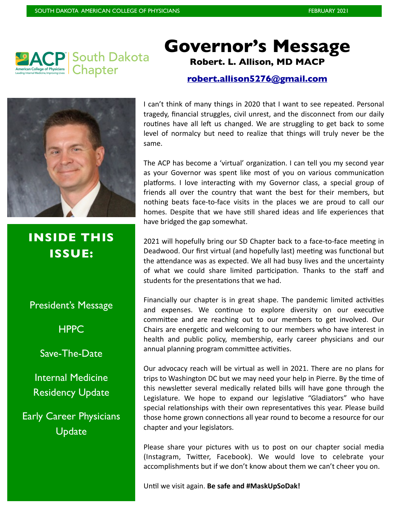

### **Governor's Message Robert. L. Allison, MD MACP**

#### **[robert.allison5276@gmail.com](mailto:robeert.allison5276@gmail.com)**



**INSIDE THIS ISSUE:** 

President's Message

**HPPC** 

Save-The-Date

Internal Medicine Residency Update

Early Career Physicians **Update** 

I can't think of many things in 2020 that I want to see repeated. Personal tragedy, financial struggles, civil unrest, and the disconnect from our daily routines have all left us changed. We are struggling to get back to some level of normalcy but need to realize that things will truly never be the same.

The ACP has become a 'virtual' organization. I can tell you my second year as your Governor was spent like most of you on various communication platforms. I love interacting with my Governor class, a special group of friends all over the country that want the best for their members, but nothing beats face-to-face visits in the places we are proud to call our homes. Despite that we have still shared ideas and life experiences that have bridged the gap somewhat.

2021 will hopefully bring our SD Chapter back to a face-to-face meeting in Deadwood. Our first virtual (and hopefully last) meeting was functional but the attendance was as expected. We all had busy lives and the uncertainty of what we could share limited participation. Thanks to the staff and students for the presentations that we had.

Financially our chapter is in great shape. The pandemic limited activities and expenses. We continue to explore diversity on our executive committee and are reaching out to our members to get involved. Our Chairs are energetic and welcoming to our members who have interest in health and public policy, membership, early career physicians and our annual planning program committee activities.

Our advocacy reach will be virtual as well in 2021. There are no plans for trips to Washington DC but we may need your help in Pierre. By the time of this newsletter several medically related bills will have gone through the Legislature. We hope to expand our legislative "Gladiators" who have special relationships with their own representatives this year. Please build those home grown connections all year round to become a resource for our chapter and your legislators.

Please share your pictures with us to post on our chapter social media (Instagram, Twitter, Facebook). We would love to celebrate your accomplishments but if we don't know about them we can't cheer you on.

Until we visit again. **Be safe and #MaskUpSoDak!**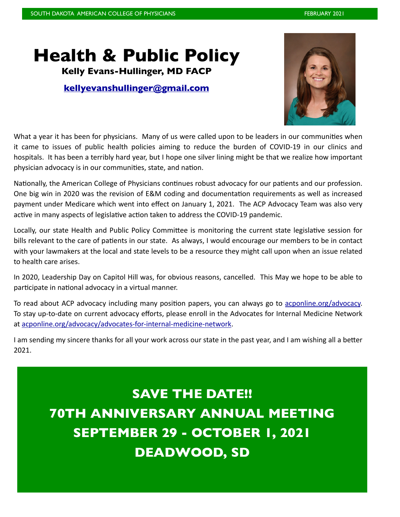## **Health & Public Policy**

**Kelly Evans-Hullinger, MD FACP** 

#### **[kellyevanshullinger@gmail.com](mailto:robeert.allison5276@gmail.com)**



What a year it has been for physicians. Many of us were called upon to be leaders in our communities when it came to issues of public health policies aiming to reduce the burden of COVID-19 in our clinics and hospitals. It has been a terribly hard year, but I hope one silver lining might be that we realize how important physician advocacy is in our communities, state, and nation.

Nationally, the American College of Physicians continues robust advocacy for our patients and our profession. One big win in 2020 was the revision of E&M coding and documentation requirements as well as increased payment under Medicare which went into effect on January 1, 2021. The ACP Advocacy Team was also very active in many aspects of legislative action taken to address the COVID-19 pandemic.

Locally, our state Health and Public Policy Committee is monitoring the current state legislative session for bills relevant to the care of patients in our state. As always, I would encourage our members to be in contact with your lawmakers at the local and state levels to be a resource they might call upon when an issue related to health care arises.

In 2020, Leadership Day on Capitol Hill was, for obvious reasons, cancelled. This May we hope to be able to participate in national advocacy in a virtual manner.

To read about ACP advocacy including many position papers, you can always go to [acponline.org/advocacy.](http://acponline.org/advocacy) To stay up-to-date on current advocacy efforts, please enroll in the Advocates for Internal Medicine Network at [acponline.org/advocacy/advocates-for-internal-medicine-network](http://acponline.org/advocacy/advocates-for-internal-medicine-network).

I am sending my sincere thanks for all your work across our state in the past year, and I am wishing all a better 2021.

## **SAVE THE DATE!! 70TH ANNIVERSARY ANNUAL MEETING SEPTEMBER 29 - OCTOBER 1, 2021**

**DEADWOOD, SD**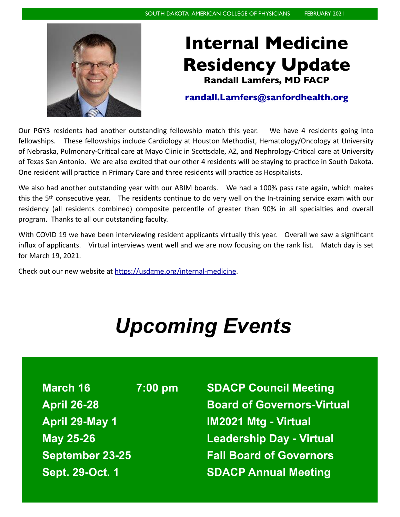

### **Internal Medicine Residency Update Randall Lamfers, MD FACP**

### **[randall.Lamfers@sanfordhealth.org](mailto:randall.Lamfers@sanfordhealth.org)**

Our PGY3 residents had another outstanding fellowship match this year. We have 4 residents going into fellowships. These fellowships include Cardiology at Houston Methodist, Hematology/Oncology at University of Nebraska, Pulmonary-Critical care at Mayo Clinic in Scottsdale, AZ, and Nephrology-Critical care at University of Texas San Antonio. We are also excited that our other 4 residents will be staying to practice in South Dakota. One resident will practice in Primary Care and three residents will practice as Hospitalists.

We also had another outstanding year with our ABIM boards. We had a 100% pass rate again, which makes this the 5th consecutive year. The residents continue to do very well on the In-training service exam with our residency (all residents combined) composite percentile of greater than 90% in all specialties and overall program. Thanks to all our outstanding faculty.

With COVID 19 we have been interviewing resident applicants virtually this year. Overall we saw a significant influx of applicants. Virtual interviews went well and we are now focusing on the rank list. Match day is set for March 19, 2021.

Check out our new website at [https://usdgme.org/internal-medicine.](https://usdgme.org/internal-medicine)

# *Upcoming Events*

**March 16 7:00 pm SDACP Council Meeting April 29-May 1 IM2021 Mtg - Virtual May 25-26 Leadership Day - Virtual September 23-25 Fall Board of Governors Sept. 29-Oct. 1 SDACP Annual Meeting**

**April 26-28 Board of Governors-Virtual**